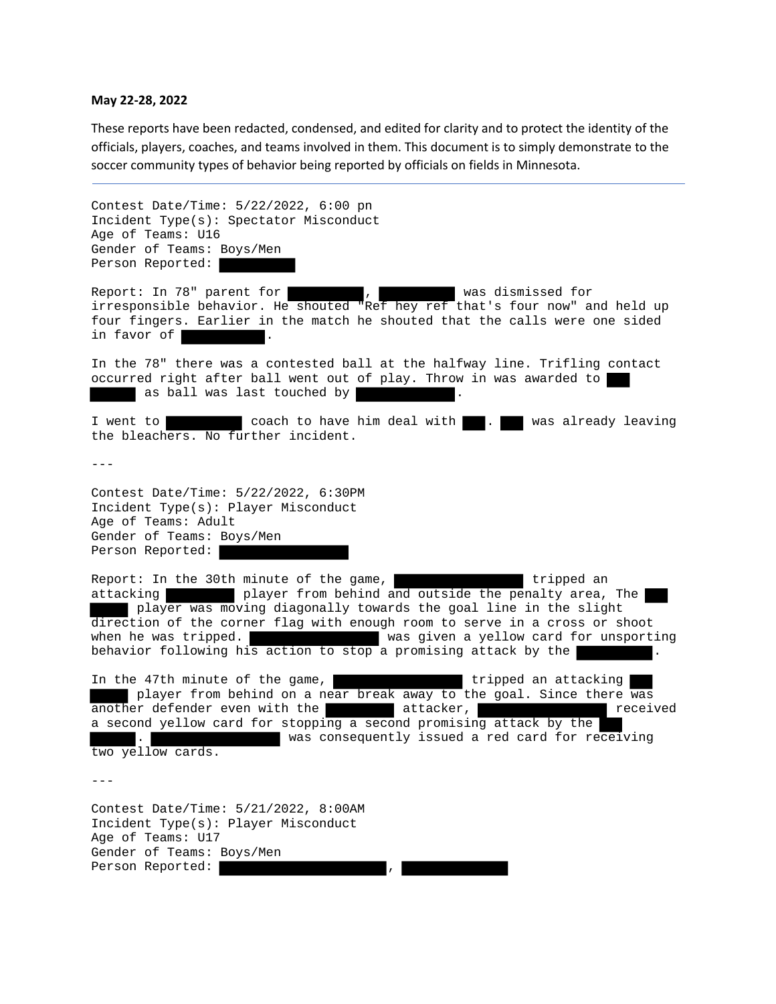## **May 22‐28, 2022**

These reports have been redacted, condensed, and edited for clarity and to protect the identity of the officials, players, coaches, and teams involved in them. This document is to simply demonstrate to the soccer community types of behavior being reported by officials on fields in Minnesota.

Contest Date/Time: 5/22/2022, 6:00 pn Incident Type(s): Spectator Misconduct Age of Teams: U16 Gender of Teams: Boys/Men Person Reported: Report: In 78" parent for , was dismissed for irresponsible behavior. He shouted "Ref hey ref that's four now" and held up four fingers. Earlier in the match he shouted that the calls were one sided in favor of  $|$ In the 78" there was a contested ball at the halfway line. Trifling contact occurred right after ball went out of play. Throw in was awarded to as ball was last touched by I went to **coach to have him deal with** . We was already leaving the bleachers. No further incident.  $- - -$ Contest Date/Time: 5/22/2022, 6:30PM Incident Type(s): Player Misconduct Age of Teams: Adult Gender of Teams: Boys/Men Person Reported: Report: In the 30th minute of the game, The stripped and tripped and attacking player from behind and outside the penalty area, The player was moving diagonally towards the goal line in the slight direction of the corner flag with enough room to serve in a cross or shoot when he was tripped. When he was given a yellow card for unsporting behavior following his action to stop a promising attack by the In the 47th minute of the game, which we have tripped an attacking player from behind on a near break away to the goal. Since there was another defender even with the attacker, and the sectived a second yellow card for stopping a second promising attack by the . was consequently issued a red card for receiving two yellow cards.  $-$ Contest Date/Time: 5/21/2022, 8:00AM Incident Type(s): Player Misconduct Age of Teams: U17 Gender of Teams: Boys/Men Person Reported: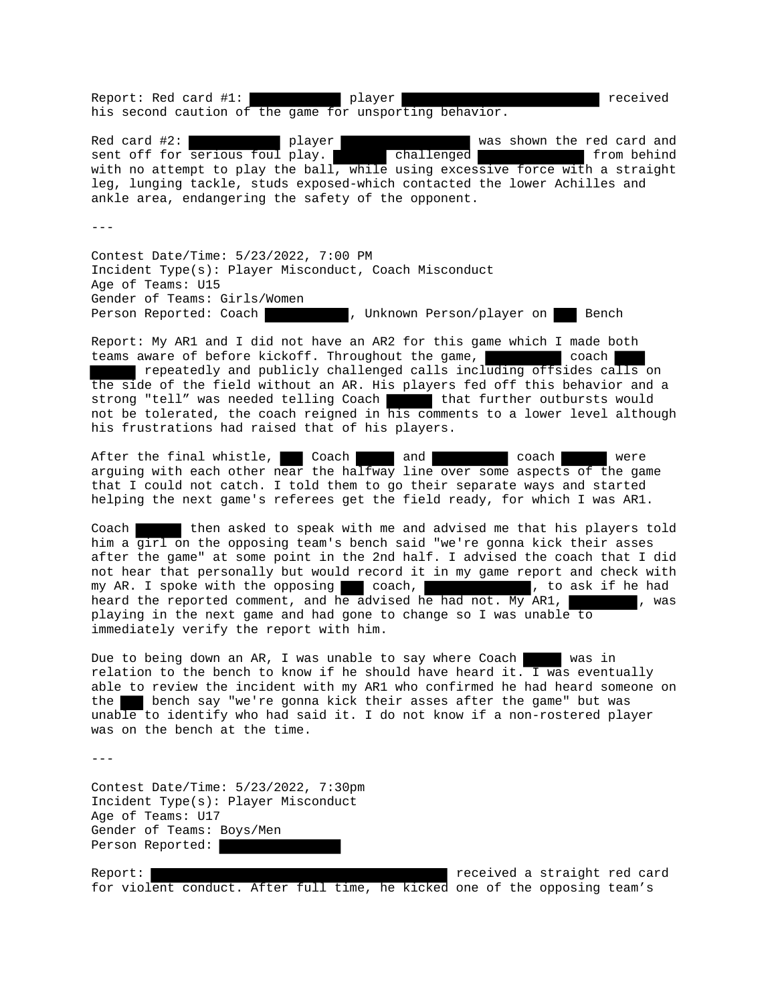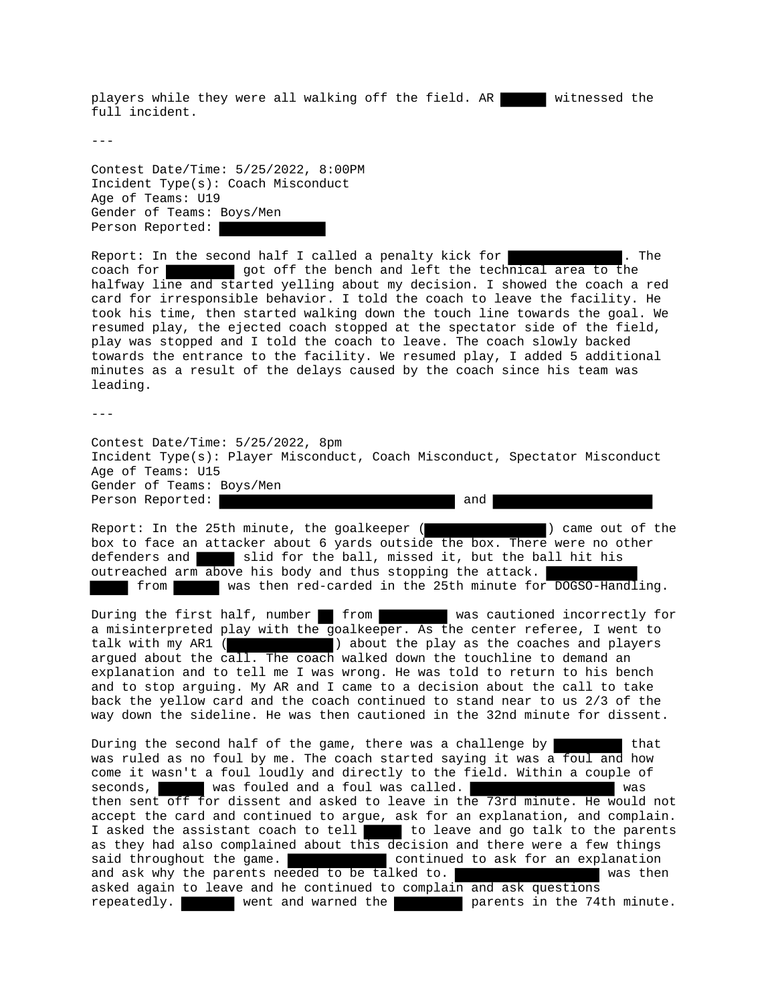players while they were all walking off the field. AR witnessed the full incident.

---

Contest Date/Time: 5/25/2022, 8:00PM Incident Type(s): Coach Misconduct Age of Teams: U19 Gender of Teams: Boys/Men Person Reported:

Report: In the second half I called a penalty kick for  $\blacksquare$ . The coach for **got off** the bench and left the technical area to the halfway line and started yelling about my decision. I showed the coach a red card for irresponsible behavior. I told the coach to leave the facility. He took his time, then started walking down the touch line towards the goal. We resumed play, the ejected coach stopped at the spectator side of the field, play was stopped and I told the coach to leave. The coach slowly backed towards the entrance to the facility. We resumed play, I added 5 additional minutes as a result of the delays caused by the coach since his team was leading.

 $-$ 

Contest Date/Time: 5/25/2022, 8pm Incident Type(s): Player Misconduct, Coach Misconduct, Spectator Misconduct Age of Teams: U15 Gender of Teams: Boys/Men Person Reported:  $\qquad \qquad$  and

Report: In the 25th minute, the goalkeeper ( ) came out of the box to face an attacker about 6 yards outside the box. There were no other defenders and slid for the ball, missed it, but the ball hit his outreached arm above his body and thus stopping the attack. from was then red-carded in the 25th minute for DOGSO-Handling.

During the first half, number from was cautioned incorrectly for a misinterpreted play with the goalkeeper. As the center referee, I went to talk with my AR1 ( ) about the play as the coaches and players argued about the call. The coach walked down the touchline to demand an explanation and to tell me I was wrong. He was told to return to his bench and to stop arguing. My AR and I came to a decision about the call to take back the yellow card and the coach continued to stand near to us 2/3 of the way down the sideline. He was then cautioned in the 32nd minute for dissent.

During the second half of the game, there was a challenge by that was ruled as no foul by me. The coach started saying it was a foul and how come it wasn't a foul loudly and directly to the field. Within a couple of seconds, was fouled and a foul was called. then sent off for dissent and asked to leave in the 73rd minute. He would not accept the card and continued to argue, ask for an explanation, and complain. I asked the assistant coach to tell to leave and go talk to the parents as they had also complained about this decision and there were a few things said throughout the game. The continued to ask for an explanation and ask why the parents needed to be talked to. asked again to leave and he continued to complain and ask questions repeatedly. went and warned the parents in the 74th minute.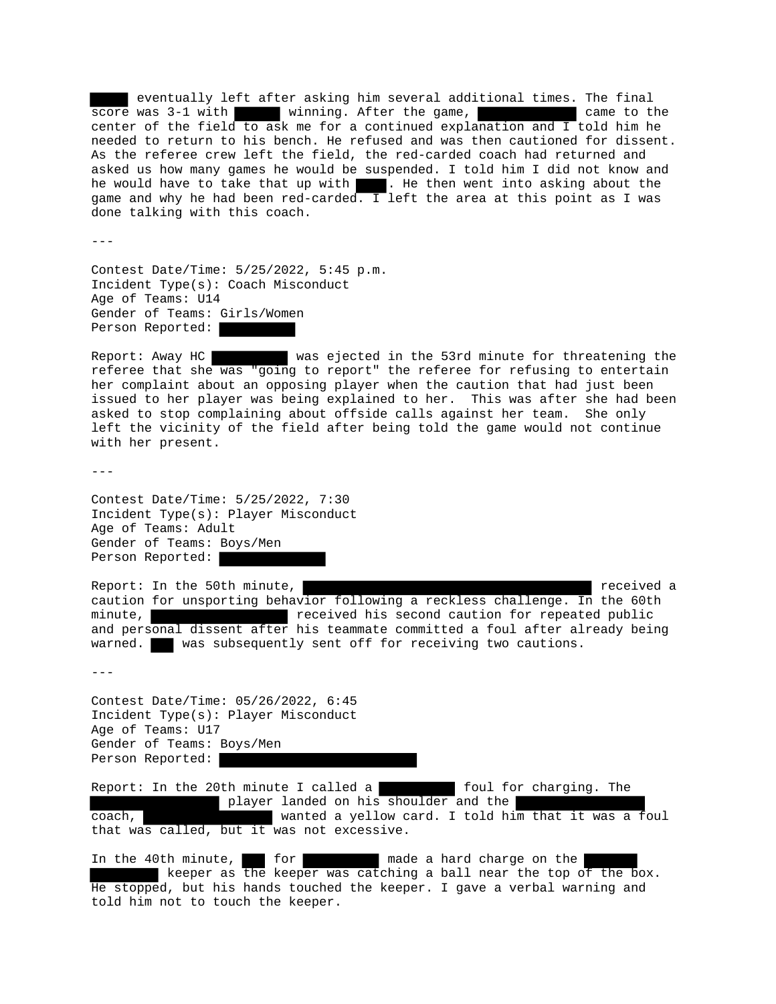eventually left after asking him several additional times. The final<br>e was 3-1 with winning. After the game, score was 3-1 with winning. After the game, center of the field to ask me for a continued explanation and I told him he needed to return to his bench. He refused and was then cautioned for dissent. As the referee crew left the field, the red-carded coach had returned and asked us how many games he would be suspended. I told him I did not know and he would have to take that up with . He then went into asking about the game and why he had been red-carded. I left the area at this point as I was done talking with this coach.

---

Contest Date/Time: 5/25/2022, 5:45 p.m. Incident Type(s): Coach Misconduct Age of Teams: U14 Gender of Teams: Girls/Women Person Reported:

Report: Away HC was ejected in the 53rd minute for threatening the referee that she was "going to report" the referee for refusing to entertain her complaint about an opposing player when the caution that had just been issued to her player was being explained to her. This was after she had been asked to stop complaining about offside calls against her team. She only left the vicinity of the field after being told the game would not continue with her present.

 $- - -$ 

Contest Date/Time: 5/25/2022, 7:30 Incident Type(s): Player Misconduct Age of Teams: Adult Gender of Teams: Boys/Men Person Reported:

Report: In the 50th minute,  $r = 1$  received a caution for unsporting behavior following a reckless challenge. In the 60th minute, received his second caution for repeated public and personal dissent after his teammate committed a foul after already being warned. was subsequently sent off for receiving two cautions.

 $- - -$ 

Contest Date/Time: 05/26/2022, 6:45 Incident Type(s): Player Misconduct Age of Teams: U17 Gender of Teams: Boys/Men Person Reported:

Report: In the 20th minute I called a  $\blacksquare$  foul for charging. The player landed on his shoulder and the coach, wanted a yellow card. I told him that it was a foul that was called, but it was not excessive.

In the 40th minute, for made a hard charge on the keeper as the keeper was catching a ball near the top of the box. He stopped, but his hands touched the keeper. I gave a verbal warning and told him not to touch the keeper.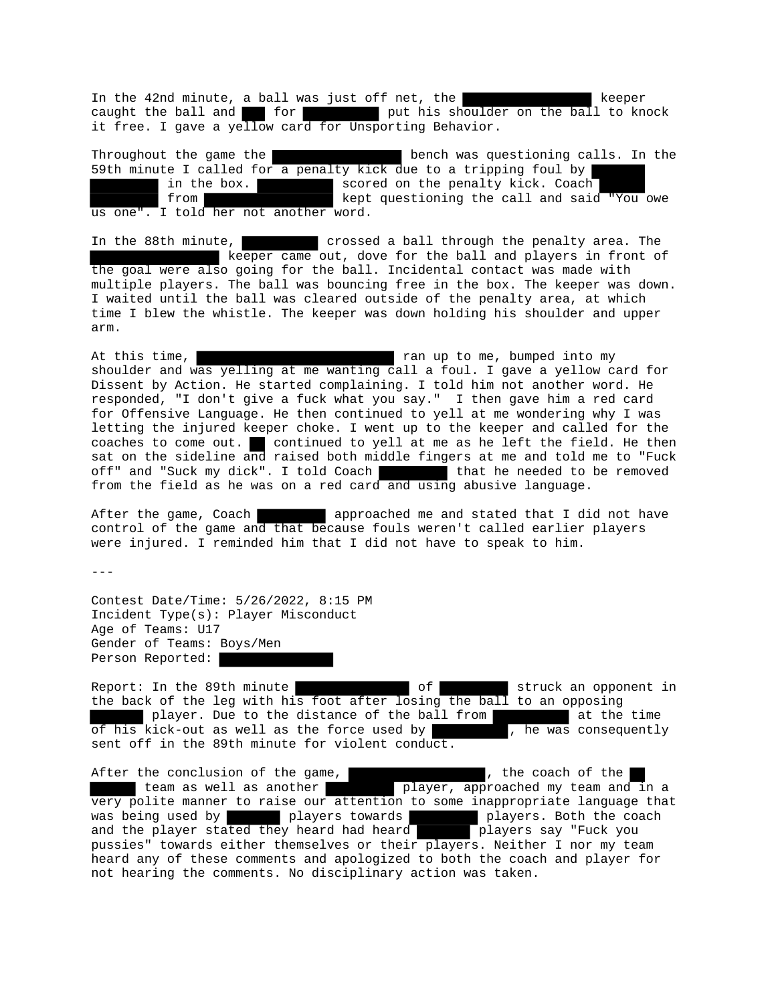In the 42nd minute, a ball was just off net, the **the contract of the contract of the contract of the contract** keeper caught the ball and **for** for put his shoulder on the ball to knock it free. I gave a yellow card for Unsporting Behavior.

Throughout the game the **bench was questioning calls**. In the 59th minute I called for a penalty kick due to a tripping foul by in the box. scored on the penalty kick. Coach from kept questioning the call and said "You owe us one". I told her not another word.

In the 88th minute, crossed a ball through the penalty area. The keeper came out, dove for the ball and players in front of the goal were also going for the ball. Incidental contact was made with multiple players. The ball was bouncing free in the box. The keeper was down. I waited until the ball was cleared outside of the penalty area, at which time I blew the whistle. The keeper was down holding his shoulder and upper arm.

At this time,  $r = r$  and up to me, bumped into my shoulder and was yelling at me wanting call a foul. I gave a yellow card for Dissent by Action. He started complaining. I told him not another word. He responded, "I don't give a fuck what you say." I then gave him a red card for Offensive Language. He then continued to yell at me wondering why I was letting the injured keeper choke. I went up to the keeper and called for the coaches to come out. continued to yell at me as he left the field. He then sat on the sideline and raised both middle fingers at me and told me to "Fuck off" and "Suck my dick". I told Coach that he needed to be removed from the field as he was on a red card and using abusive language.

After the game, Coach approached me and stated that I did not have control of the game and that because fouls weren't called earlier players were injured. I reminded him that I did not have to speak to him.

---

Contest Date/Time: 5/26/2022, 8:15 PM Incident Type(s): Player Misconduct Age of Teams: U17 Gender of Teams: Boys/Men Person Reported:

Report: In the 89th minute **of** of struck an opponent in the back of the leg with his foot after losing the ball to an opposing player. Due to the distance of the ball from The at the time of his kick-out as well as the force used by , he was consequently sent off in the 89th minute for violent conduct.

After the conclusion of the game,  $\qquad \qquad$ , the coach of the team as well as another player, approached my team and in a very polite manner to raise our attention to some inappropriate language that was being used by players towards players. Both the coach and the player stated they heard had heard **players** say "Fuck you pussies" towards either themselves or their players. Neither I nor my team heard any of these comments and apologized to both the coach and player for not hearing the comments. No disciplinary action was taken.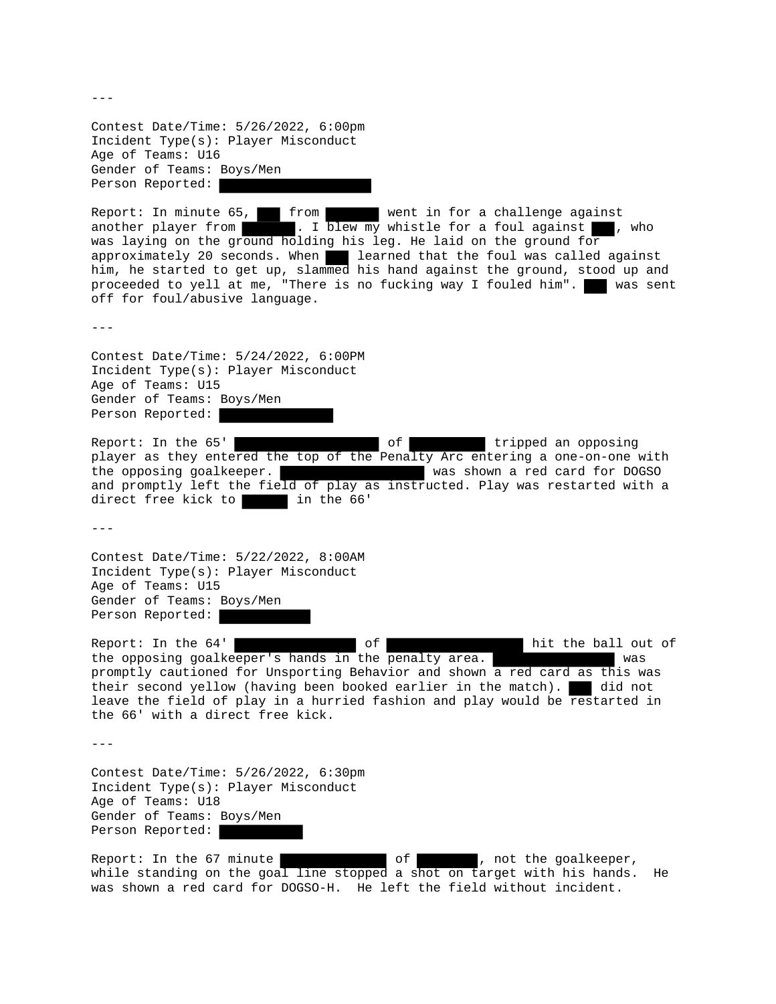Contest Date/Time: 5/26/2022, 6:00pm Incident Type(s): Player Misconduct Age of Teams: U16 Gender of Teams: Boys/Men Person Reported:

Report: In minute 65, from went in for a challenge against another player from  $\blacksquare$ . I blew my whistle for a foul against  $\blacksquare$ , . I blew my whistle for a foul against , who was laying on the ground holding his leg. He laid on the ground for approximately 20 seconds. When learned that the foul was called against him, he started to get up, slammed his hand against the ground, stood up and proceeded to yell at me, "There is no fucking way I fouled him". was sent off for foul/abusive language.

---

Contest Date/Time: 5/24/2022, 6:00PM Incident Type(s): Player Misconduct Age of Teams: U15 Gender of Teams: Boys/Men Person Reported:

Report: In the 65' and the control of the tripped an opposing player as they entered the top of the Penalty Arc entering a one-on-one with the opposing goalkeeper. was shown a red card for DOGSO and promptly left the field of play as instructed. Play was restarted with a direct free kick to in the 66'

 $- - -$ 

Contest Date/Time: 5/22/2022, 8:00AM Incident Type(s): Player Misconduct Age of Teams: U15 Gender of Teams: Boys/Men Person Reported:

Report: In the 64' state of the ball out of hit the ball out of the opposing goalkeeper's hands in the penalty area. was promptly cautioned for Unsporting Behavior and shown a red card as this was their second yellow (having been booked earlier in the match). did not leave the field of play in a hurried fashion and play would be restarted in the 66' with a direct free kick.

---

Contest Date/Time: 5/26/2022, 6:30pm Incident Type(s): Player Misconduct Age of Teams: U18 Gender of Teams: Boys/Men Person Reported:

Report: In the 67 minute of of , not the goalkeeper, while standing on the goal line stopped a shot on target with his hands. He was shown a red card for DOGSO-H. He left the field without incident.

 $---$